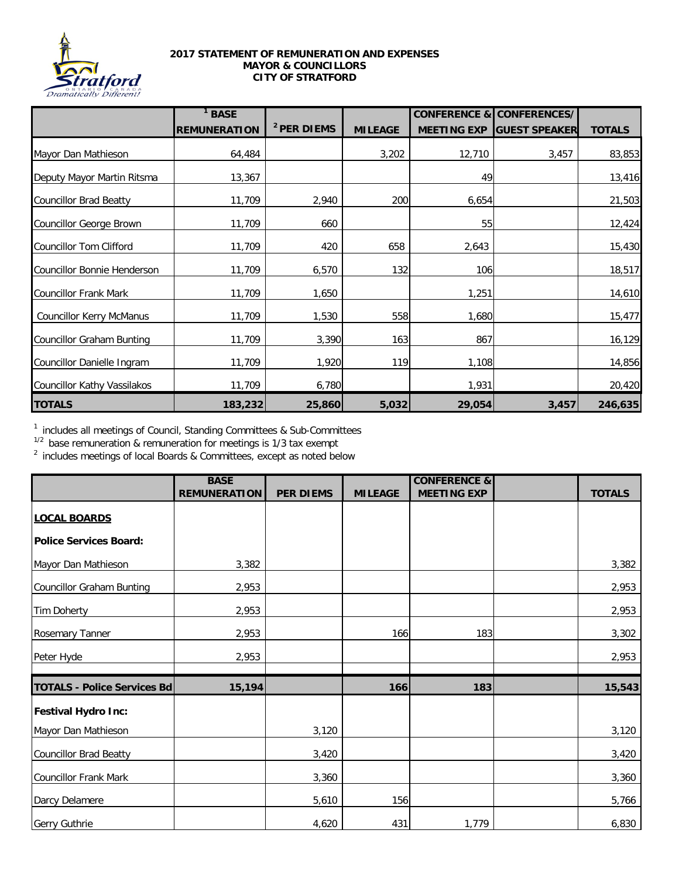

## **2017 STATEMENT OF REMUNERATION AND EXPENSES MAYOR & COUNCILLORS CITY OF STRATFORD**

|                                    | $1$ BASE            |                        |                | <b>CONFERENCE &amp;</b> | <b>CONFERENCES/</b>  |               |
|------------------------------------|---------------------|------------------------|----------------|-------------------------|----------------------|---------------|
|                                    | <b>REMUNERATION</b> | <sup>2</sup> PER DIEMS | <b>MILEAGE</b> | <b>MEETING EXP</b>      | <b>GUEST SPEAKER</b> | <b>TOTALS</b> |
| Mayor Dan Mathieson                | 64,484              |                        | 3,202          | 12,710                  | 3,457                | 83,853        |
| Deputy Mayor Martin Ritsma         | 13,367              |                        |                | 49                      |                      | 13,416        |
| <b>Councillor Brad Beatty</b>      | 11,709              | 2,940                  | 200            | 6,654                   |                      | 21,503        |
| Councillor George Brown            | 11,709              | 660                    |                | 55                      |                      | 12,424        |
| <b>Councillor Tom Clifford</b>     | 11,709              | 420                    | 658            | 2,643                   |                      | 15,430        |
| <b>Councillor Bonnie Henderson</b> | 11,709              | 6,570                  | 132            | 106                     |                      | 18,517        |
| <b>Councillor Frank Mark</b>       | 11,709              | 1,650                  |                | 1,251                   |                      | 14,610        |
| <b>Councillor Kerry McManus</b>    | 11,709              | 1,530                  | 558            | 1,680                   |                      | 15,477        |
| <b>Councillor Graham Bunting</b>   | 11,709              | 3,390                  | 163            | 867                     |                      | 16,129        |
| Councillor Danielle Ingram         | 11,709              | 1,920                  | 119            | 1,108                   |                      | 14,856        |
| <b>Councillor Kathy Vassilakos</b> | 11,709              | 6,780                  |                | 1,931                   |                      | 20,420        |
| <b>TOTALS</b>                      | 183,232             | 25,860                 | 5,032          | 29,054                  | 3,457                | 246,635       |

<sup>1</sup> includes all meetings of Council, Standing Committees & Sub-Committees

 $1/2$  base remuneration & remuneration for meetings is 1/3 tax exempt

 $2$  includes meetings of local Boards & Committees, except as noted below

|                                    | <b>BASE</b>         |                  |                | <b>CONFERENCE &amp;</b> |               |
|------------------------------------|---------------------|------------------|----------------|-------------------------|---------------|
|                                    | <b>REMUNERATION</b> | <b>PER DIEMS</b> | <b>MILEAGE</b> | <b>MEETING EXP</b>      | <b>TOTALS</b> |
| <b>LOCAL BOARDS</b>                |                     |                  |                |                         |               |
| <b>Police Services Board:</b>      |                     |                  |                |                         |               |
| Mayor Dan Mathieson                | 3,382               |                  |                |                         | 3,382         |
| Councillor Graham Bunting          | 2,953               |                  |                |                         | 2,953         |
| Tim Doherty                        | 2,953               |                  |                |                         | 2,953         |
| <b>Rosemary Tanner</b>             | 2,953               |                  | 166            | 183                     | 3,302         |
| Peter Hyde                         | 2,953               |                  |                |                         | 2,953         |
| <b>TOTALS - Police Services Bd</b> | 15, 194             |                  | 166            | 183                     | 15,543        |
| <b>Festival Hydro Inc:</b>         |                     |                  |                |                         |               |
| Mayor Dan Mathieson                |                     | 3,120            |                |                         | 3,120         |
| Councillor Brad Beatty             |                     | 3,420            |                |                         | 3,420         |
| Councillor Frank Mark              |                     | 3,360            |                |                         | 3,360         |
| Darcy Delamere                     |                     | 5,610            | 156            |                         | 5,766         |
| Gerry Guthrie                      |                     | 4,620            | 431            | 1,779                   | 6,830         |